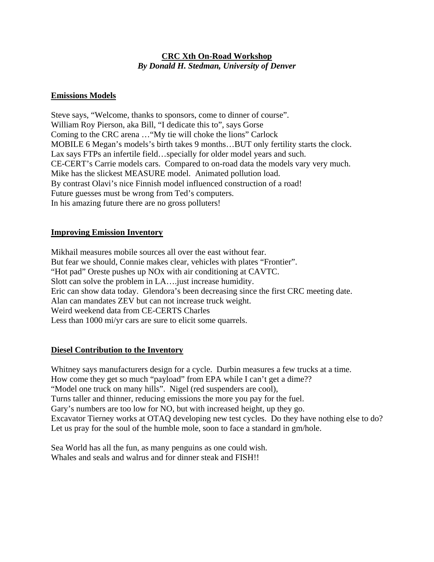## **CRC Xth On-Road Workshop**  *By Donald H. Stedman, University of Denver*

#### **Emissions Models**

Steve says, "Welcome, thanks to sponsors, come to dinner of course". William Roy Pierson, aka Bill, "I dedicate this to", says Gorse Coming to the CRC arena …"My tie will choke the lions" Carlock MOBILE 6 Megan's models's birth takes 9 months…BUT only fertility starts the clock. Lax says FTPs an infertile field…specially for older model years and such. CE-CERT's Carrie models cars. Compared to on-road data the models vary very much. Mike has the slickest MEASURE model. Animated pollution load. By contrast Olavi's nice Finnish model influenced construction of a road! Future guesses must be wrong from Ted's computers. In his amazing future there are no gross polluters!

## **Improving Emission Inventory**

Mikhail measures mobile sources all over the east without fear. But fear we should, Connie makes clear, vehicles with plates "Frontier". "Hot pad" Oreste pushes up NOx with air conditioning at CAVTC. Slott can solve the problem in LA….just increase humidity. Eric can show data today. Glendora's been decreasing since the first CRC meeting date. Alan can mandates ZEV but can not increase truck weight. Weird weekend data from CE-CERTS Charles Less than 1000 mi/yr cars are sure to elicit some quarrels.

#### **Diesel Contribution to the Inventory**

Whitney says manufacturers design for a cycle. Durbin measures a few trucks at a time. How come they get so much "payload" from EPA while I can't get a dime?? "Model one truck on many hills". Nigel (red suspenders are cool), Turns taller and thinner, reducing emissions the more you pay for the fuel. Gary's numbers are too low for NO, but with increased height, up they go. Excavator Tierney works at OTAQ developing new test cycles. Do they have nothing else to do? Let us pray for the soul of the humble mole, soon to face a standard in gm/hole.

Sea World has all the fun, as many penguins as one could wish. Whales and seals and walrus and for dinner steak and FISH!!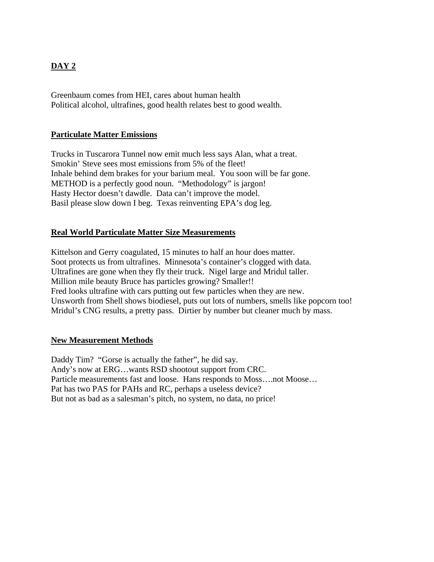# **DAY 2**

Greenbaum comes from HEI, cares about human health Political alcohol, ultrafines, good health relates best to good wealth.

## **Particulate Matter Emissions**

Trucks in Tuscarora Tunnel now emit much less says Alan, what a treat. Smokin' Steve sees most emissions from 5% of the fleet! Inhale behind dem brakes for your barium meal. You soon will be far gone. METHOD is a perfectly good noun. "Methodology" is jargon! Hasty Hector doesn't dawdle. Data can't improve the model. Basil please slow down I beg. Texas reinventing EPA's dog leg.

## **Real World Particulate Matter Size Measurements**

Kittelson and Gerry coagulated, 15 minutes to half an hour does matter. Soot protects us from ultrafines. Minnesota's container's clogged with data. Ultrafines are gone when they fly their truck. Nigel large and Mridul taller. Million mile beauty Bruce has particles growing? Smaller!! Fred looks ultrafine with cars putting out few particles when they are new. Unsworth from Shell shows biodiesel, puts out lots of numbers, smells like popcorn too! Mridul's CNG results, a pretty pass. Dirtier by number but cleaner much by mass.

#### **New Measurement Methods**

Daddy Tim? "Gorse is actually the father", he did say. Andy's now at ERG…wants RSD shootout support from CRC. Particle measurements fast and loose. Hans responds to Moss….not Moose… Pat has two PAS for PAHs and RC, perhaps a useless device? But not as bad as a salesman's pitch, no system, no data, no price!